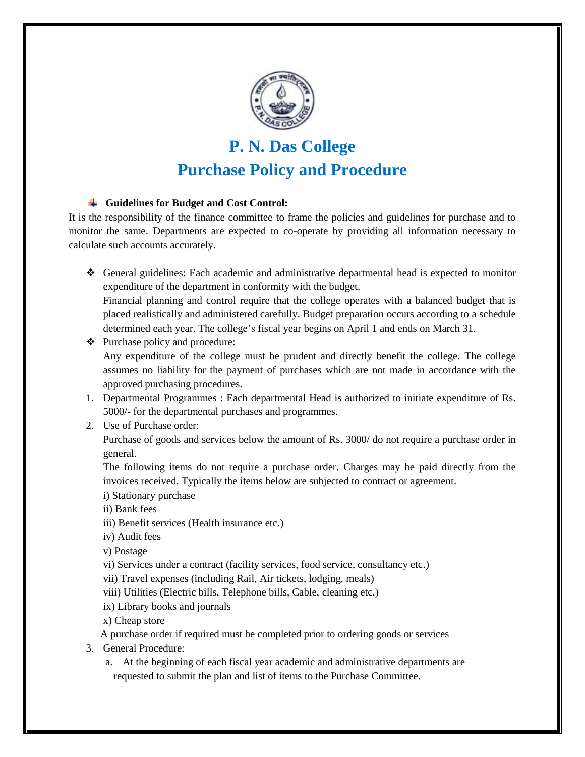

# **P. N. Das College Purchase Policy and Procedure**

## **Guidelines for Budget and Cost Control:**

It is the responsibility of the finance committee to frame the policies and guidelines for purchase and to monitor the same. Departments are expected to co-operate by providing all information necessary to calculate such accounts accurately.

 General guidelines: Each academic and administrative departmental head is expected to monitor expenditure of the department in conformity with the budget.

Financial planning and control require that the college operates with a balanced budget that is placed realistically and administered carefully. Budget preparation occurs according to a schedule determined each year. The college's fiscal year begins on April 1 and ends on March 31.

- $\triangleleft$  Purchase policy and procedure: Any expenditure of the college must be prudent and directly benefit the college. The college assumes no liability for the payment of purchases which are not made in accordance with the approved purchasing procedures.
- 1. Departmental Programmes : Each departmental Head is authorized to initiate expenditure of Rs. 5000/- for the departmental purchases and programmes.
- 2. Use of Purchase order:

Purchase of goods and services below the amount of Rs. 3000/ do not require a purchase order in general.

The following items do not require a purchase order. Charges may be paid directly from the invoices received. Typically the items below are subjected to contract or agreement.

- i) Stationary purchase
- ii) Bank fees
- iii) Benefit services (Health insurance etc.)
- iv) Audit fees
- v) Postage
- vi) Services under a contract (facility services, food service, consultancy etc.)
- vii) Travel expenses (including Rail, Air tickets, lodging, meals)
- viii) Utilities (Electric bills, Telephone bills, Cable, cleaning etc.)
- ix) Library books and journals
- x) Cheap store

A purchase order if required must be completed prior to ordering goods or services

- 3. General Procedure:
	- a. At the beginning of each fiscal year academic and administrative departments are requested to submit the plan and list of items to the Purchase Committee.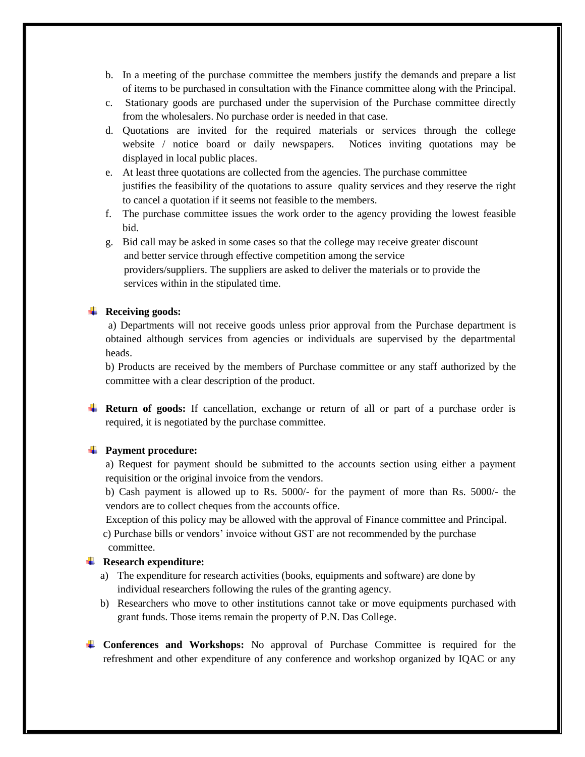- b. In a meeting of the purchase committee the members justify the demands and prepare a list of items to be purchased in consultation with the Finance committee along with the Principal.
- c. Stationary goods are purchased under the supervision of the Purchase committee directly from the wholesalers. No purchase order is needed in that case.
- d. Quotations are invited for the required materials or services through the college website / notice board or daily newspapers. Notices inviting quotations may be displayed in local public places.
- e. At least three quotations are collected from the agencies. The purchase committee justifies the feasibility of the quotations to assure quality services and they reserve the right to cancel a quotation if it seems not feasible to the members.
- f. The purchase committee issues the work order to the agency providing the lowest feasible bid.

g. Bid call may be asked in some cases so that the college may receive greater discount and better service through effective competition among the service providers/suppliers. The suppliers are asked to deliver the materials or to provide the services within in the stipulated time.

#### **Receiving goods:**

a) Departments will not receive goods unless prior approval from the Purchase department is obtained although services from agencies or individuals are supervised by the departmental heads.

b) Products are received by the members of Purchase committee or any staff authorized by the committee with a clear description of the product.

**Return of goods:** If cancellation, exchange or return of all or part of a purchase order is required, it is negotiated by the purchase committee.

#### **Payment procedure:**

a) Request for payment should be submitted to the accounts section using either a payment requisition or the original invoice from the vendors.

b) Cash payment is allowed up to Rs. 5000/- for the payment of more than Rs. 5000/- the vendors are to collect cheques from the accounts office.

Exception of this policy may be allowed with the approval of Finance committee and Principal.

 c) Purchase bills or vendors' invoice without GST are not recommended by the purchase committee.

## **Research expenditure:**

- a) The expenditure for research activities (books, equipments and software) are done by individual researchers following the rules of the granting agency.
- b) Researchers who move to other institutions cannot take or move equipments purchased with grant funds. Those items remain the property of P.N. Das College.
- **Conferences and Workshops:** No approval of Purchase Committee is required for the refreshment and other expenditure of any conference and workshop organized by IQAC or any